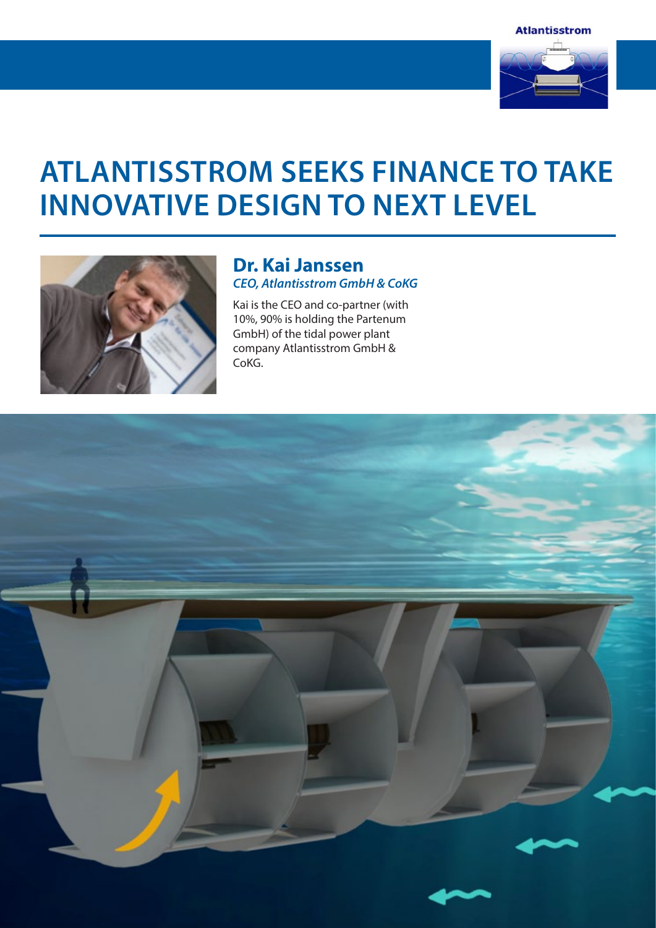

# **Atlantisstrom Seeks Finance To Take Innovative Design To Next Level**



### **Dr. Kai Janssen** *CEO, Atlantisstrom GmbH & CoKG*

Kai is the CEO and co-partner (with 10%, 90% is holding the Partenum GmbH) of the tidal power plant company Atlantisstrom GmbH & CoKG.

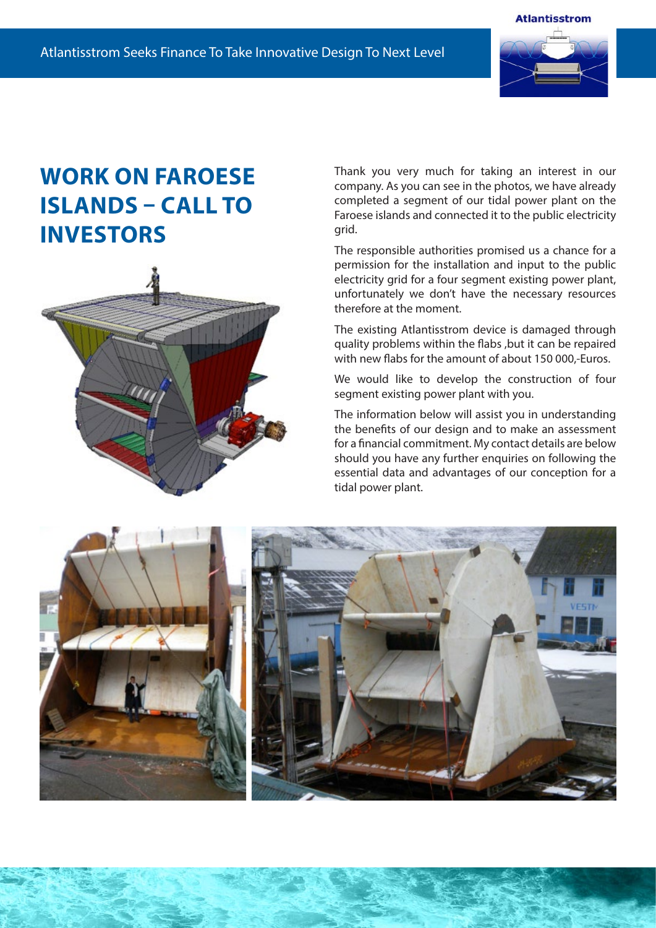

## **Work on Faroese Islands – Call to Investors**



Thank you very much for taking an interest in our company. As you can see in the photos, we have already completed a segment of our tidal power plant on the Faroese islands and connected it to the public electricity grid.

The responsible authorities promised us a chance for a permission for the installation and input to the public electricity grid for a four segment existing power plant, unfortunately we don't have the necessary resources therefore at the moment.

The existing Atlantisstrom device is damaged through quality problems within the flabs ,but it can be repaired with new flabs for the amount of about 150 000,-Euros.

We would like to develop the construction of four segment existing power plant with you.

The information below will assist you in understanding the benefits of our design and to make an assessment for a financial commitment. My contact details are below should you have any further enquiries on following the essential data and advantages of our conception for a tidal power plant.

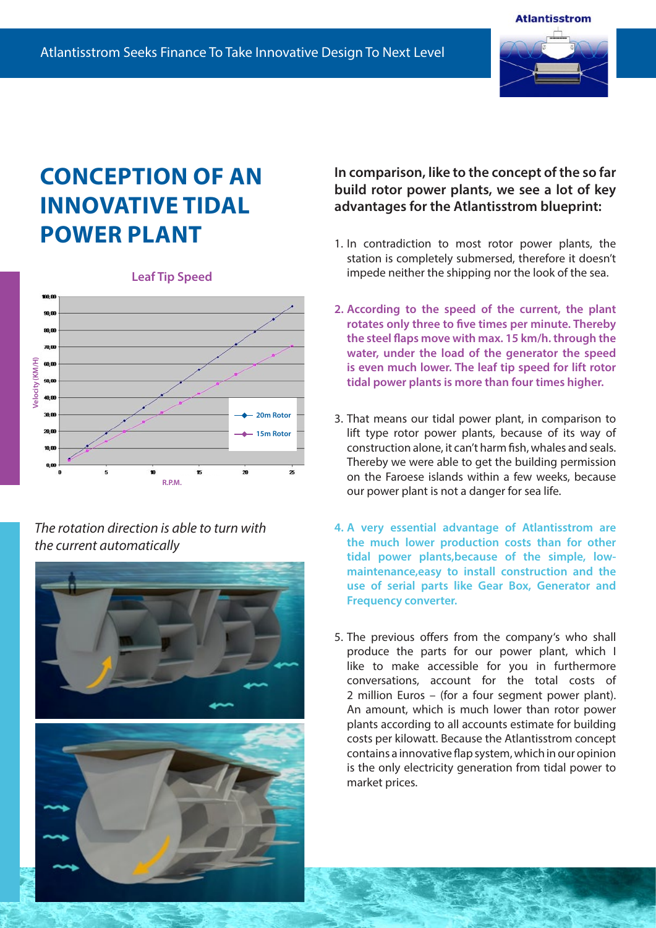

## **Conception of an innovative tidal power plant**





### *The rotation direction is able to turn with the current automatically*



### **In comparison, like to the concept of the so far build rotor power plants, we see a lot of key advantages for the Atlantisstrom blueprint:**

- 1. In contradiction to most rotor power plants, the station is completely submersed, therefore it doesn't impede neither the shipping nor the look of the sea.
- **2. According to the speed of the current, the plant rotates only three to five times per minute. Thereby the steel flaps move with max. 15 km/h. through the water, under the load of the generator the speed is even much lower. The leaf tip speed for lift rotor tidal power plants is more than four times higher.**
- 3. That means our tidal power plant, in comparison to lift type rotor power plants, because of its way of construction alone, it can't harm fish, whales and seals. Thereby we were able to get the building permission on the Faroese islands within a few weeks, because our power plant is not a danger for sea life.
- **4. A very essential advantage of Atlantisstrom are the much lower production costs than for other tidal power plants,because of the simple, lowmaintenance,easy to install construction and the use of serial parts like Gear Box, Generator and Frequency converter.**
- 5. The previous offers from the company's who shall produce the parts for our power plant, which I like to make accessible for you in furthermore conversations, account for the total costs of 2 million Euros – (for a four segment power plant). An amount, which is much lower than rotor power plants according to all accounts estimate for building costs per kilowatt. Because the Atlantisstrom concept contains a innovative flap system, which in our opinion is the only electricity generation from tidal power to market prices.